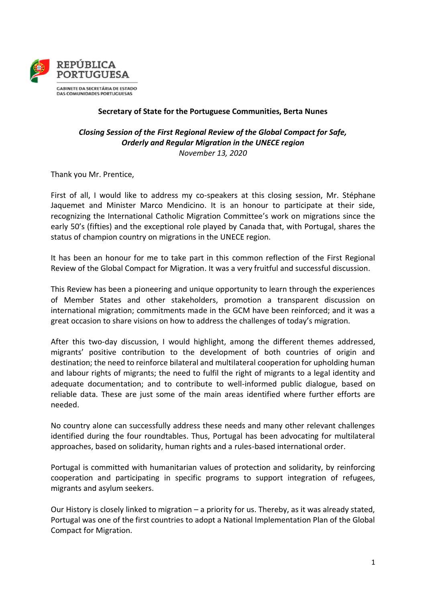

## **Secretary of State for the Portuguese Communities, Berta Nunes**

## *Closing Session of the First Regional Review of the Global Compact for Safe, Orderly and Regular Migration in the UNECE region November 13, 2020*

Thank you Mr. Prentice,

First of all, I would like to address my co-speakers at this closing session, Mr. Stéphane Jaquemet and Minister Marco Mendicino. It is an honour to participate at their side, recognizing the International Catholic Migration Committee's work on migrations since the early 50's (fifties) and the exceptional role played by Canada that, with Portugal, shares the status of champion country on migrations in the UNECE region.

It has been an honour for me to take part in this common reflection of the First Regional Review of the Global Compact for Migration. It was a very fruitful and successful discussion.

This Review has been a pioneering and unique opportunity to learn through the experiences of Member States and other stakeholders, promotion a transparent discussion on international migration; commitments made in the GCM have been reinforced; and it was a great occasion to share visions on how to address the challenges of today's migration.

After this two-day discussion, I would highlight, among the different themes addressed, migrants' positive contribution to the development of both countries of origin and destination; the need to reinforce bilateral and multilateral cooperation for upholding human and labour rights of migrants; the need to fulfil the right of migrants to a legal identity and adequate documentation; and to contribute to well-informed public dialogue, based on reliable data. These are just some of the main areas identified where further efforts are needed.

No country alone can successfully address these needs and many other relevant challenges identified during the four roundtables. Thus, Portugal has been advocating for multilateral approaches, based on solidarity, human rights and a rules-based international order.

Portugal is committed with humanitarian values of protection and solidarity, by reinforcing cooperation and participating in specific programs to support integration of refugees, migrants and asylum seekers.

Our History is closely linked to migration – a priority for us. Thereby, as it was already stated, Portugal was one of the first countries to adopt a National Implementation Plan of the Global Compact for Migration.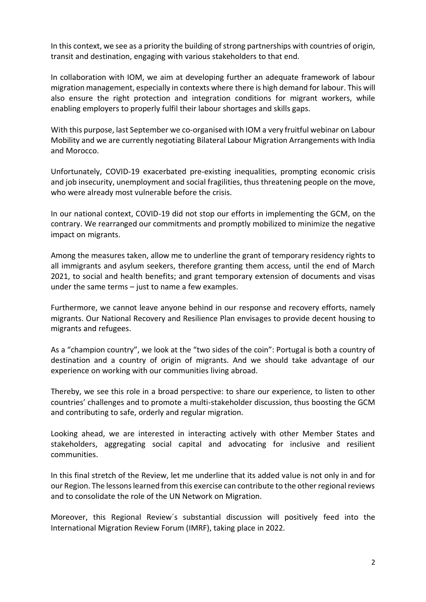In this context, we see as a priority the building of strong partnerships with countries of origin, transit and destination, engaging with various stakeholders to that end.

In collaboration with IOM, we aim at developing further an adequate framework of labour migration management, especially in contexts where there is high demand for labour. This will also ensure the right protection and integration conditions for migrant workers, while enabling employers to properly fulfil their labour shortages and skills gaps.

With this purpose, last September we co-organised with IOM a very fruitful webinar on Labour Mobility and we are currently negotiating Bilateral Labour Migration Arrangements with India and Morocco.

Unfortunately, COVID-19 exacerbated pre-existing inequalities, prompting economic crisis and job insecurity, unemployment and social fragilities, thus threatening people on the move, who were already most vulnerable before the crisis.

In our national context, COVID-19 did not stop our efforts in implementing the GCM, on the contrary. We rearranged our commitments and promptly mobilized to minimize the negative impact on migrants.

Among the measures taken, allow me to underline the grant of temporary residency rights to all immigrants and asylum seekers, therefore granting them access, until the end of March 2021, to social and health benefits; and grant temporary extension of documents and visas under the same terms  $-$  just to name a few examples.

Furthermore, we cannot leave anyone behind in our response and recovery efforts, namely migrants. Our National Recovery and Resilience Plan envisages to provide decent housing to migrants and refugees.

As a "champion country", we look at the "two sides of the coin": Portugal is both a country of destination and a country of origin of migrants. And we should take advantage of our experience on working with our communities living abroad.

Thereby, we see this role in a broad perspective: to share our experience, to listen to other countries' challenges and to promote a multi-stakeholder discussion, thus boosting the GCM and contributing to safe, orderly and regular migration.

Looking ahead, we are interested in interacting actively with other Member States and stakeholders, aggregating social capital and advocating for inclusive and resilient communities.

In this final stretch of the Review, let me underline that its added value is not only in and for our Region. The lessons learned from this exercise can contribute to the other regional reviews and to consolidate the role of the UN Network on Migration.

Moreover, this Regional Review´s substantial discussion will positively feed into the International Migration Review Forum (IMRF), taking place in 2022.